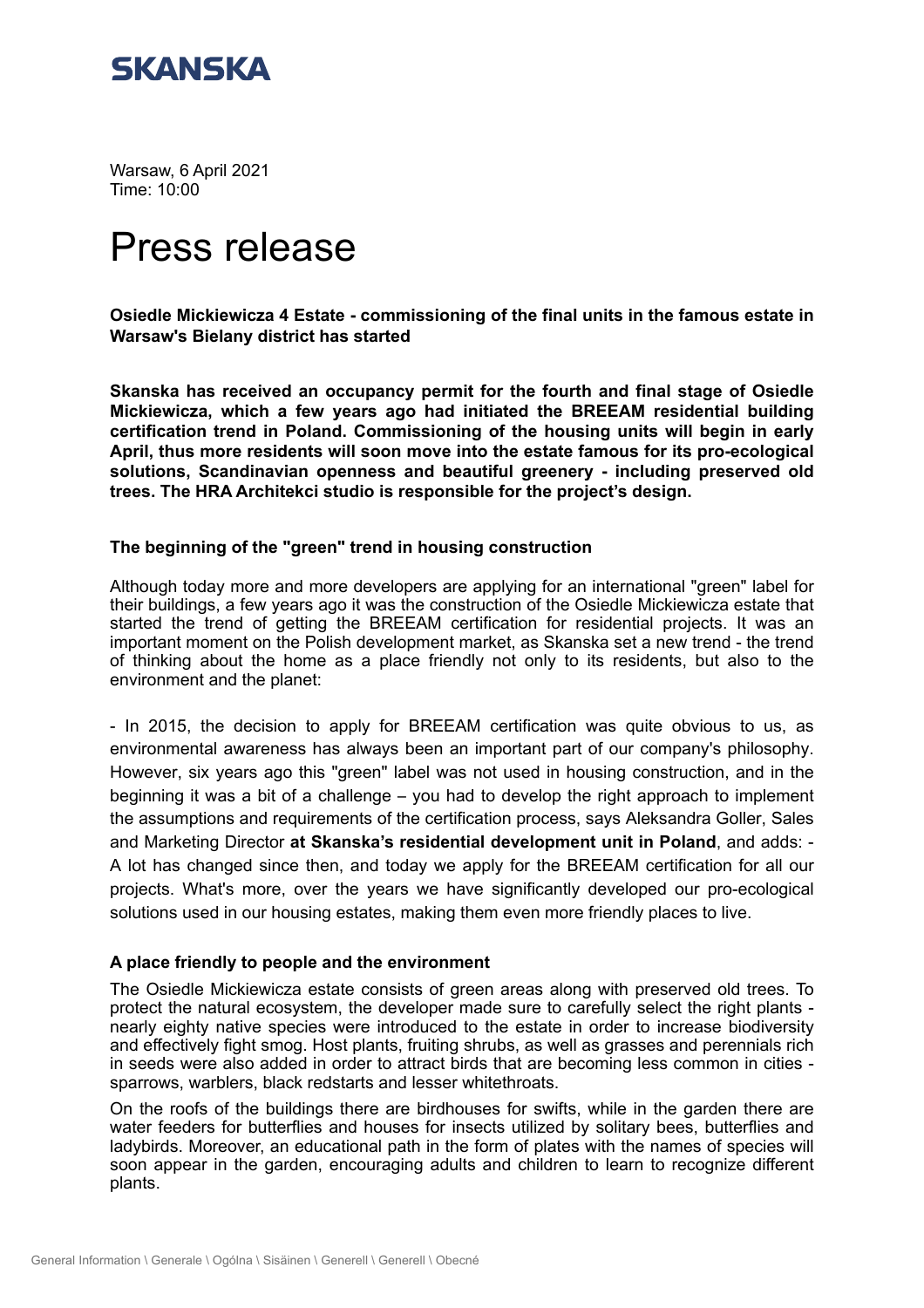

Warsaw, 6 April 2021 Time: 10:00

# Press release

**Osiedle Mickiewicza 4 Estate - commissioning of the final units in the famous estate in Warsaw's Bielany district has started** 

**Skanska has received an occupancy permit for the fourth and final stage of Osiedle Mickiewicza, which a few years ago had initiated the BREEAM residential building certification trend in Poland. Commissioning of the housing units will begin in early April, thus more residents will soon move into the estate famous for its pro-ecological solutions, Scandinavian openness and beautiful greenery - including preserved old trees. The HRA Architekci studio is responsible for the project's design.** 

#### **The beginning of the "green" trend in housing construction**

Although today more and more developers are applying for an international "green" label for their buildings, a few years ago it was the construction of the Osiedle Mickiewicza estate that started the trend of getting the BREEAM certification for residential projects. It was an important moment on the Polish development market, as Skanska set a new trend - the trend of thinking about the home as a place friendly not only to its residents, but also to the environment and the planet:

- In 2015, the decision to apply for BREEAM certification was quite obvious to us, as environmental awareness has always been an important part of our company's philosophy. However, six years ago this "green" label was not used in housing construction, and in the beginning it was a bit of a challenge  $-$  you had to develop the right approach to implement the assumptions and requirements of the certification process, says Aleksandra Goller, Sales and Marketing Director at Skanska's residential development unit in Poland, and adds: -A lot has changed since then, and today we apply for the BREEAM certification for all our projects. What's more, over the years we have significantly developed our pro-ecological solutions used in our housing estates, making them even more friendly places to live.

### **A place friendly to people and the environment**

The Osiedle Mickiewicza estate consists of green areas along with preserved old trees. To protect the natural ecosystem, the developer made sure to carefully select the right plants nearly eighty native species were introduced to the estate in order to increase biodiversity and effectively fight smog. Host plants, fruiting shrubs, as well as grasses and perennials rich in seeds were also added in order to attract birds that are becoming less common in cities sparrows, warblers, black redstarts and lesser whitethroats.

On the roofs of the buildings there are birdhouses for swifts, while in the garden there are water feeders for butterflies and houses for insects utilized by solitary bees, butterflies and ladybirds. Moreover, an educational path in the form of plates with the names of species will soon appear in the garden, encouraging adults and children to learn to recognize different plants.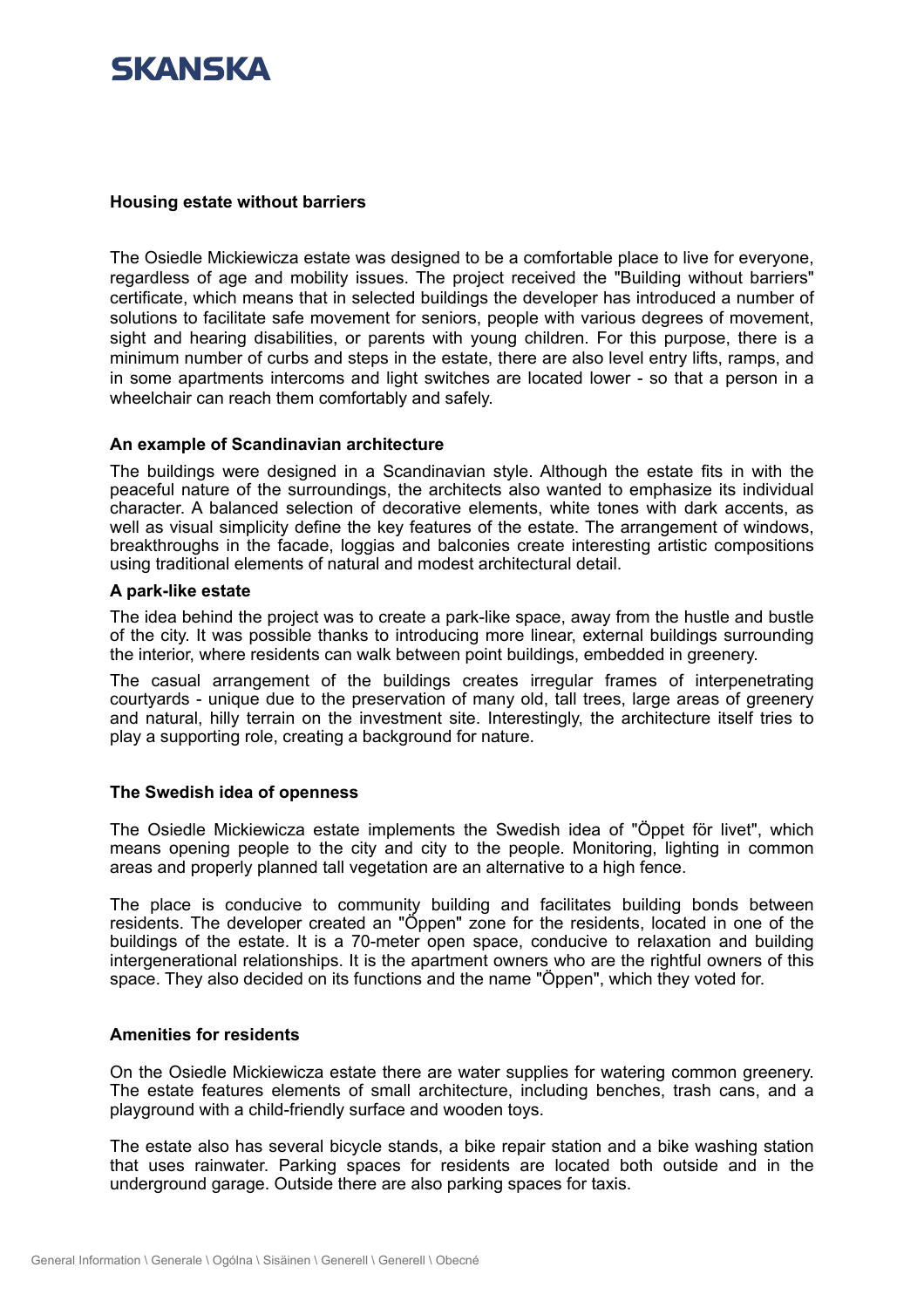## SKANSKA

#### **Housing estate without barriers**

The Osiedle Mickiewicza estate was designed to be a comfortable place to live for everyone, regardless of age and mobility issues. The project received the "Building without barriers" certificate, which means that in selected buildings the developer has introduced a number of solutions to facilitate safe movement for seniors, people with various degrees of movement, sight and hearing disabilities, or parents with young children. For this purpose, there is a minimum number of curbs and steps in the estate, there are also level entry lifts, ramps, and in some apartments intercoms and light switches are located lower - so that a person in a wheelchair can reach them comfortably and safely.

#### **An example of Scandinavian architecture**

The buildings were designed in a Scandinavian style. Although the estate fits in with the peaceful nature of the surroundings, the architects also wanted to emphasize its individual character. A balanced selection of decorative elements, white tones with dark accents, as well as visual simplicity define the key features of the estate. The arrangement of windows, breakthroughs in the facade, loggias and balconies create interesting artistic compositions using traditional elements of natural and modest architectural detail.

#### **A park-like estate**

The idea behind the project was to create a park-like space, away from the hustle and bustle of the city. It was possible thanks to introducing more linear, external buildings surrounding the interior, where residents can walk between point buildings, embedded in greenery.

The casual arrangement of the buildings creates irregular frames of interpenetrating courtyards - unique due to the preservation of many old, tall trees, large areas of greenery and natural, hilly terrain on the investment site. Interestingly, the architecture itself tries to play a supporting role, creating a background for nature.

#### **The Swedish idea of openness**

The Osiedle Mickiewicza estate implements the Swedish idea of "Öppet för livet", which means opening people to the city and city to the people. Monitoring, lighting in common areas and properly planned tall vegetation are an alternative to a high fence.

The place is conducive to community building and facilitates building bonds between residents. The developer created an "Öppen" zone for the residents, located in one of the buildings of the estate. It is a 70-meter open space, conducive to relaxation and building intergenerational relationships. It is the apartment owners who are the rightful owners of this space. They also decided on its functions and the name "Öppen", which they voted for.

#### **Amenities for residents**

On the Osiedle Mickiewicza estate there are water supplies for watering common greenery. The estate features elements of small architecture, including benches, trash cans, and a playground with a child-friendly surface and wooden toys.

The estate also has several bicycle stands, a bike repair station and a bike washing station that uses rainwater. Parking spaces for residents are located both outside and in the underground garage. Outside there are also parking spaces for taxis.